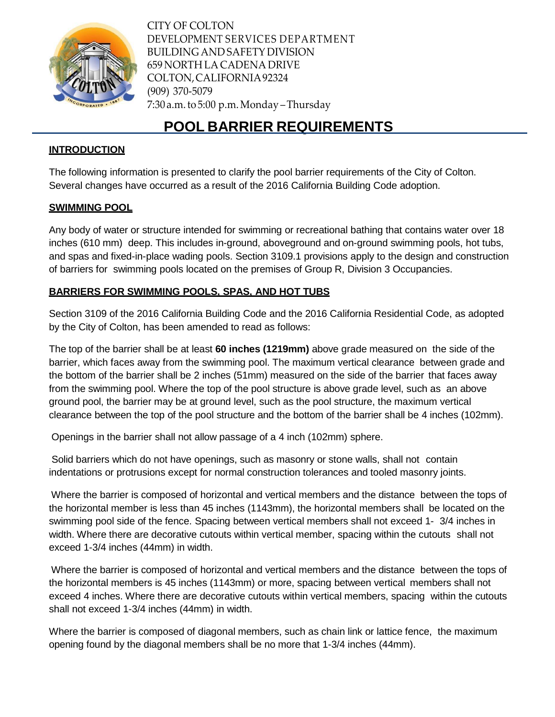

CITY OF COLTON DEVELOPMENT SERVICES DEPARTMENT BUILDING AND SAFETY DIVISION 659 NORTH LA CADENA DRIVE COLTON,CALIFORNIA92324 (909) 370-5079 7:30 a.m.to 5:00 p.m.Monday –Thursday

# **POOL BARRIER REQUIREMENTS**

### **INTRODUCTION**

The following information is presented to clarify the pool barrier requirements of the City of Colton. Several changes have occurred as a result of the 2016 California Building Code adoption.

#### **SWIMMING POOL**

Any body of water or structure intended for swimming or recreational bathing that contains water over 18 inches (610 mm) deep. This includes in-ground, aboveground and on-ground swimming pools, hot tubs, and spas and fixed-in-place wading pools. Section 3109.1 provisions apply to the design and construction of barriers for swimming pools located on the premises of Group R, Division 3 Occupancies.

## **BARRIERS FOR SWIMMING POOLS, SPAS, AND HOT TUBS**

Section 3109 of the 2016 California Building Code and the 2016 California Residential Code, as adopted by the City of Colton, has been amended to read as follows:

The top of the barrier shall be at least **60 inches (1219mm)** above grade measured on the side of the barrier, which faces away from the swimming pool. The maximum vertical clearance between grade and the bottom of the barrier shall be 2 inches (51mm) measured on the side of the barrier that faces away from the swimming pool. Where the top of the pool structure is above grade level, such as an above ground pool, the barrier may be at ground level, such as the pool structure, the maximum vertical clearance between the top of the pool structure and the bottom of the barrier shall be 4 inches (102mm).

Openings in the barrier shall not allow passage of a 4 inch (102mm) sphere.

Solid barriers which do not have openings, such as masonry or stone walls, shall not contain indentations or protrusions except for normal construction tolerances and tooled masonry joints.

Where the barrier is composed of horizontal and vertical members and the distance between the tops of the horizontal member is less than 45 inches (1143mm), the horizontal members shall be located on the swimming pool side of the fence. Spacing between vertical members shall not exceed 1- 3/4 inches in width. Where there are decorative cutouts within vertical member, spacing within the cutouts shall not exceed 1-3/4 inches (44mm) in width.

Where the barrier is composed of horizontal and vertical members and the distance between the tops of the horizontal members is 45 inches (1143mm) or more, spacing between vertical members shall not exceed 4 inches. Where there are decorative cutouts within vertical members, spacing within the cutouts shall not exceed 1-3/4 inches (44mm) in width.

Where the barrier is composed of diagonal members, such as chain link or lattice fence, the maximum opening found by the diagonal members shall be no more that 1-3/4 inches (44mm).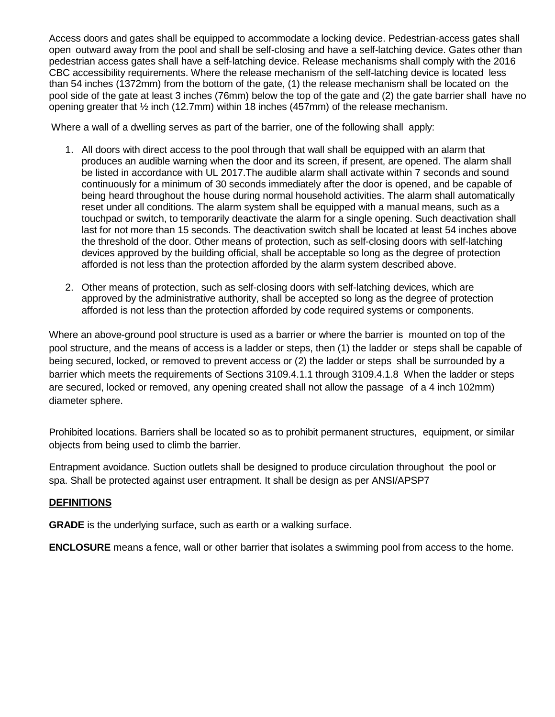Access doors and gates shall be equipped to accommodate a locking device. Pedestrian-access gates shall open outward away from the pool and shall be self-closing and have a self-latching device. Gates other than pedestrian access gates shall have a self-latching device. Release mechanisms shall comply with the 2016 CBC accessibility requirements. Where the release mechanism of the self-latching device is located less than 54 inches (1372mm) from the bottom of the gate, (1) the release mechanism shall be located on the pool side of the gate at least 3 inches (76mm) below the top of the gate and (2) the gate barrier shall have no opening greater that ½ inch (12.7mm) within 18 inches (457mm) of the release mechanism.

Where a wall of a dwelling serves as part of the barrier, one of the following shall apply:

- 1. All doors with direct access to the pool through that wall shall be equipped with an alarm that produces an audible warning when the door and its screen, if present, are opened. The alarm shall be listed in accordance with UL 2017.The audible alarm shall activate within 7 seconds and sound continuously for a minimum of 30 seconds immediately after the door is opened, and be capable of being heard throughout the house during normal household activities. The alarm shall automatically reset under all conditions. The alarm system shall be equipped with a manual means, such as a touchpad or switch, to temporarily deactivate the alarm for a single opening. Such deactivation shall last for not more than 15 seconds. The deactivation switch shall be located at least 54 inches above the threshold of the door. Other means of protection, such as self-closing doors with self-latching devices approved by the building official, shall be acceptable so long as the degree of protection afforded is not less than the protection afforded by the alarm system described above.
- 2. Other means of protection, such as self-closing doors with self-latching devices, which are approved by the administrative authority, shall be accepted so long as the degree of protection afforded is not less than the protection afforded by code required systems or components.

Where an above-ground pool structure is used as a barrier or where the barrier is mounted on top of the pool structure, and the means of access is a ladder or steps, then (1) the ladder or steps shall be capable of being secured, locked, or removed to prevent access or (2) the ladder or steps shall be surrounded by a barrier which meets the requirements of Sections 3109.4.1.1 through 3109.4.1.8 When the ladder or steps are secured, locked or removed, any opening created shall not allow the passage of a 4 inch 102mm) diameter sphere.

Prohibited locations. Barriers shall be located so as to prohibit permanent structures, equipment, or similar objects from being used to climb the barrier.

Entrapment avoidance. Suction outlets shall be designed to produce circulation throughout the pool or spa. Shall be protected against user entrapment. It shall be design as per ANSI/APSP7

#### **DEFINITIONS**

**GRADE** is the underlying surface, such as earth or a walking surface.

**ENCLOSURE** means a fence, wall or other barrier that isolates a swimming pool from access to the home.